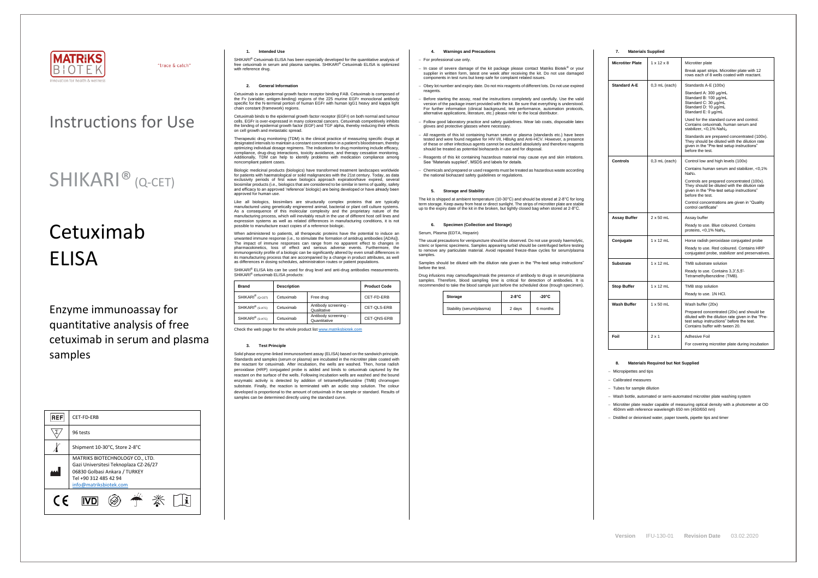

"trace & catch"

# Instructions for Use

# SHIKARI® (Q-CET)

# Cetuximab ELISA

Enzyme immunoassay for quantitative analysis of free cetuximab in serum and plasma samples

SHIKARI® Cetuximab ELISA has been especially developed for the quantitative analysis of free cetuximab in serum and plasma samples. SHIKARI® Cetuximab ELISA is optimized with reference drug.

| <b>REF</b> | CET-FD-ERB                                                                                                                                                   |  |  |
|------------|--------------------------------------------------------------------------------------------------------------------------------------------------------------|--|--|
|            | 96 tests                                                                                                                                                     |  |  |
|            | Shipment 10-30°C, Store 2-8°C                                                                                                                                |  |  |
|            | MATRIKS BIOTECHNOLOGY CO., LTD.<br>Gazi Universitesi Teknoplaza CZ-26/27<br>06830 Golbasi Ankara / TURKEY<br>Tel +90 312 485 42 94<br>info@matriksbiotek.com |  |  |
| (F         |                                                                                                                                                              |  |  |

### **1. Intended Use**

#### **2. General Information**

Cetuximab is an epidermal growth factor receptor binding FAB. Cetuximab is composed of the Fv (variable; antigen-binding) regions of the 225 murine EGFr monoclonal antibody specific for the N-terminal portion of human EGFr with human IgG1 heavy and kappa light chain constant (framework) regions.

Biologic medicinal products (biologics) have transformed treatment landscapes worldwide for patients with haematological or solid malignancies with the 21st century. Today, as data exclusivity periods of first wave biologics approach expiration/have expired, several biosimilar products (i.e., biologics that are considered to be similar in terms of quality, safety and efficacy to an approved 'reference' biologic) are being developed or have already been a chicac, is compared to the manner.

Cetuximab binds to the epidermal growth factor receptor (EGFr) on both normal and tumour cells. EGFr is over-expressed in many colorectal cancers. Cetuximab competitively inhibits the binding of epidermal growth factor (EGF) and TGF alpha, thereby reducing their effects on cell growth and metastatic spread.

Therapeutic drug monitoring (TDM) is the clinical practice of measuring specific drugs at designated intervals to maintain a constant concentration in a patient's bloodstream, thereby optimizing individual dosage regimens. The indications for drug monitoring include efficacy, compliance, drug-drug interactions, toxicity avoidance, and therapy cessation monitoring. Additionally, TDM can help to identify problems with medication compliance among noncompliant patient cases.

When administered to patients, all therapeutic proteins have the potential to induce an unwanted immune response (i.e., to stimulate the formation of antidrug antibodies [ADAs]). The impact of immune responses can range from no apparent effect to changes in pharmacokinetics, loss of effect and serious adverse events. Furthermore, the immunogenicity profile of a biologic can be significantly altered by even small differences in its manufacturing process that are accompanied by a change in product attributes, as well as differences in dosing schedules, administration routes or patient populations.

SHIKARI<sup>®</sup> ELISA kits can be used for drug level and anti-drug antibodies measurements. SHIKARI® cetuximab ELISA products:

Like all biologics, biosimilars are structurally complex proteins that are typically manufactured using genetically engineered animal, bacterial or plant cell culture systems. As a consequence of this molecular complexity and the proprietary nature of the manufacturing process, which will inevitably result in the use of different host cell lines and expression systems as well as related differences in manufacturing conditions, it is not possible to manufacture exact copies of a reference biologic.

> The usual precautions for venipuncture should be observed. Do not use grossly haemolytic, icteric or lipemic specimens. Samples appearing turbid should be centrifuged before testing to remove any particulate material. Avoid repeated freeze-thaw cycles for serum/plasma samples

| <b>Brand</b>                 | <b>Description</b> |                                      | <b>Product Code</b> |
|------------------------------|--------------------|--------------------------------------|---------------------|
| SHIKARI <sup>®</sup> (Q-CET) | Cetuximab          | Free drug                            | CET-FD-ERB          |
| SHIKARI <sup>®</sup> (S-ATC) | Cetuximab          | Antibody screening -<br>Qualitative  | CET-QLS-ERB         |
| SHIKARI <sup>®</sup> (S-ATC) | Cetuximab          | Antibody screening -<br>Quantitative | CET-ONS-ERB         |

Check the web page for the whole product lis[t www.matriksbiotek.com](http://www.matriksbiotek.com/)

#### **3. Test Principle**

Solid phase enzyme-linked immunosorbent assay (ELISA) based on the sandwich principle. Standards and samples (serum or plasma) are incubated in the microtiter plate coated with the reactant for cetuximab. After incubation, the wells are washed. Then, horse radish peroxidase (HRP) conjugated probe is added and binds to cetuximab captured by the reactant on the surface of the wells. Following incubation wells are washed and the bound enzymatic activity is detected by addition of tetramethylbenzidine (TMB) chromogen substrate. Finally, the reaction is terminated with an acidic stop solution. The colour developed is proportional to the amount of cetuximab in the sample or standard. Results of samples can be determined directly using the standard curve.

# **4. Warnings and Precautions**

#### − For professional use only.

- − In case of severe damage of the kit package please contact Matriks Biotek® or your supplier in written form, latest one week after receiving the kit. Do not use damaged components in test runs but keep safe for complaint related issues.
- Obey lot number and expiry date. Do not mix reagents of different lots. Do not use expired reagents
- − Before starting the assay, read the instructions completely and carefully. Use the valid version of the package insert provided with the kit. Be sure that everything is understood. For further information (clinical background, test performance, automation protocols, alternative applications, literature, etc.) please refer to the local distributor.
- − Follow good laboratory practice and safety guidelines. Wear lab coats, disposable latex gloves and protective glasses where necessary.
- All reagents of this kit containing human serum or plasma (standards etc.) have been tested and were found negative for HIV I/II, HBsAg and Anti-HCV. However, a presence of these or other infectious agents cannot be excluded absolutely and therefore reagents should be treated as potential biohazards in use and for disposal.
- − Reagents of this kit containing hazardous material may cause eye and skin irritations. See "Materials supplied", MSDS and labels for details.
- − Chemicals and prepared or used reagents must be treated as hazardous waste according the national biohazard safety guidelines or regulations.

# **5. Storage and Stability**

The kit is shipped at ambient temperature (10-30°C) and should be stored at 2-8°C for long term storage. Keep away from heat or direct sunlight. The strips of microtiter plate are stable up to the expiry date of the kit in the broken, but tightly closed bag when stored at 2-8°C.

#### **6. Specimen (Collection and Storage)**

#### Serum, Plasma (EDTA, Heparin)

Samples should be diluted with the dilution rate given in the "Pre-test setup instructions" before the test.

Drug infusions may camouflages/mask the presence of antibody to drugs in serum/plasma samples. Therefore, blood sampling time is critical for detection of antibodies. It is recommended to take the blood sample just before the scheduled dose (trough specimen).

| Storage                  | $2-8$ °C | $-20^{\circ}$ C |
|--------------------------|----------|-----------------|
| Stability (serum/plasma) | 2 days   | 6 months        |

# **7. Materials Supplied**

| <b>Microtiter Plate</b> | $1 \times 12 \times 8$ | Microtiter plate                                                                                                                                                              |
|-------------------------|------------------------|-------------------------------------------------------------------------------------------------------------------------------------------------------------------------------|
|                         |                        | Break apart strips. Microtiter plate with 12<br>rows each of 8 wells coated with reactant.                                                                                    |
| <b>Standard A-E</b>     | $0,3$ mL (each)        | Standards A-E (100x)                                                                                                                                                          |
|                         |                        | Standard A: 300 µg/mL<br>Standard B: 100 µg/mL<br>Standard C: 30 µg/mL<br>Standard D: 10 µg/mL<br>Standard E: 0 µg/mL                                                         |
|                         |                        | Used for the standard curve and control.<br>Contains cetuximab, human serum and<br>stabilizer, < $0.1\%$ NaN <sub>3</sub> .                                                   |
|                         |                        | Standards are prepared concentrated (100x).<br>They should be diluted with the dilution rate<br>given in the "Pre-test setup instructions"<br>before the test.                |
| Controls                | $0,3$ mL (each)        | Control low and high levels (100x)                                                                                                                                            |
|                         |                        | Contains human serum and stabilizer, <0,1%<br>$NaN3$ .                                                                                                                        |
|                         |                        | Controls are prepared concentrated (100x).<br>They should be diluted with the dilution rate<br>given in the "Pre-test setup instructions"<br>before the test.                 |
|                         |                        | Control concentrations are given in "Quality"<br>control certificate"                                                                                                         |
| Assay Buffer            | $2 \times 50$ mL       | Assay buffer                                                                                                                                                                  |
|                         |                        | Ready to use. Blue coloured. Contains<br>proteins, <0,1% NaN <sub>3</sub> .                                                                                                   |
| Conjugate               | $1 \times 12$ mL       | Horse radish peroxidase conjugated probe                                                                                                                                      |
|                         |                        | Ready to use. Red coloured. Contains HRP<br>conjugated probe, stabilizer and preservatives.                                                                                   |
| Substrate               | $1 \times 12$ mL       | TMB substrate solution                                                                                                                                                        |
|                         |                        | Ready to use. Contains 3,3',5,5'-<br>Tetramethylbenzidine (TMB).                                                                                                              |
| <b>Stop Buffer</b>      | $1 \times 12$ mL       | TMB stop solution                                                                                                                                                             |
|                         |                        | Ready to use. 1N HCI.                                                                                                                                                         |
| Wash Buffer             | $1 \times 50$ mL       | Wash buffer (20x)                                                                                                                                                             |
|                         |                        | Prepared concentrated (20x) and should be<br>diluted with the dilution rate given in the "Pre-<br>test setup instructions" before the test.<br>Contains buffer with tween 20. |
| Foil                    | $2 \times 1$           | Adhesive Foil                                                                                                                                                                 |
|                         |                        | For covering microtiter plate during incubation                                                                                                                               |

# **8. Materials Required but Not Supplied**

− Micropipettes and tips

− Calibrated measures

− Tubes for sample dilution

− Wash bottle, automated or semi-automated microtiter plate washing system

− Microtiter plate reader capable of measuring optical density with a photometer at OD 450nm with reference wavelength 650 nm (450/650 nm)

− Distilled or deionised water, paper towels, pipette tips and timer